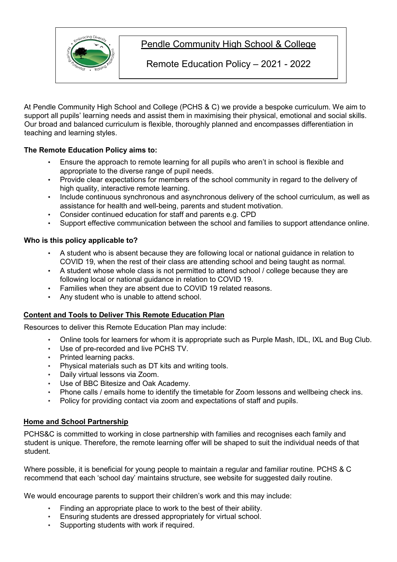

# Pendle Community High School & College

Remote Education Policy – 2021 - 2022

At Pendle Community High School and College (PCHS & C) we provide a bespoke curriculum. We aim to support all pupils' learning needs and assist them in maximising their physical, emotional and social skills. Our broad and balanced curriculum is flexible, thoroughly planned and encompasses differentiation in teaching and learning styles.

# **The Remote Education Policy aims to:**

- Ensure the approach to remote learning for all pupils who aren't in school is flexible and appropriate to the diverse range of pupil needs.
- Provide clear expectations for members of the school community in regard to the delivery of high quality, interactive remote learning.
- Include continuous synchronous and asynchronous delivery of the school curriculum, as well as assistance for health and well-being, parents and student motivation.
- Consider continued education for staff and parents e.g. CPD
- Support effective communication between the school and families to support attendance online.

### **Who is this policy applicable to?**

- A student who is absent because they are following local or national guidance in relation to COVID 19, when the rest of their class are attending school and being taught as normal.
- A student whose whole class is not permitted to attend school / college because they are following local or national guidance in relation to COVID 19.
- Families when they are absent due to COVID 19 related reasons.
- Any student who is unable to attend school.

### **Content and Tools to Deliver This Remote Education Plan**

Resources to deliver this Remote Education Plan may include:

- Online tools for learners for whom it is appropriate such as Purple Mash, IDL, IXL and Bug Club.
- Use of pre-recorded and live PCHS TV.
- Printed learning packs.
- Physical materials such as DT kits and writing tools.
- Daily virtual lessons via Zoom.
- Use of BBC Bitesize and Oak Academy.
- Phone calls / emails home to identify the timetable for Zoom lessons and wellbeing check ins.
- Policy for providing contact via zoom and expectations of staff and pupils.

# **Home and School Partnership**

PCHS&C is committed to working in close partnership with families and recognises each family and student is unique. Therefore, the remote learning offer will be shaped to suit the individual needs of that student.

Where possible, it is beneficial for young people to maintain a regular and familiar routine. PCHS & C recommend that each 'school day' maintains structure, see website for suggested daily routine.

We would encourage parents to support their children's work and this may include:

- Finding an appropriate place to work to the best of their ability.
- Ensuring students are dressed appropriately for virtual school.
- Supporting students with work if required.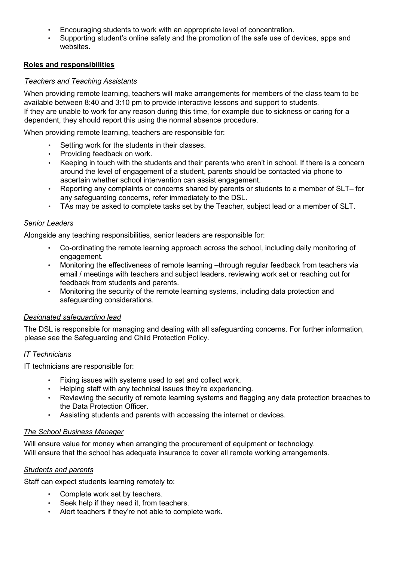- Encouraging students to work with an appropriate level of concentration.
- Supporting student's online safety and the promotion of the safe use of devices, apps and websites.

# **Roles and responsibilities**

## *Teachers and Teaching Assistants*

When providing remote learning, teachers will make arrangements for members of the class team to be available between 8:40 and 3:10 pm to provide interactive lessons and support to students. If they are unable to work for any reason during this time, for example due to sickness or caring for a dependent, they should report this using the normal absence procedure.

When providing remote learning, teachers are responsible for:

- Setting work for the students in their classes.
- Providing feedback on work.
- Keeping in touch with the students and their parents who aren't in school. If there is a concern around the level of engagement of a student, parents should be contacted via phone to ascertain whether school intervention can assist engagement.
- Reporting any complaints or concerns shared by parents or students to a member of SLT– for any safeguarding concerns, refer immediately to the DSL.
- TAs may be asked to complete tasks set by the Teacher, subject lead or a member of SLT.

### *Senior Leaders*

Alongside any teaching responsibilities, senior leaders are responsible for:

- Co-ordinating the remote learning approach across the school, including daily monitoring of engagement.
- Monitoring the effectiveness of remote learning –through regular feedback from teachers via email / meetings with teachers and subject leaders, reviewing work set or reaching out for feedback from students and parents.
- Monitoring the security of the remote learning systems, including data protection and safeguarding considerations.

### *Designated safeguarding lead*

The DSL is responsible for managing and dealing with all safeguarding concerns. For further information, please see the Safeguarding and Child Protection Policy.

### *IT Technicians*

IT technicians are responsible for:

- Fixing issues with systems used to set and collect work.
- Helping staff with any technical issues they're experiencing.
- Reviewing the security of remote learning systems and flagging any data protection breaches to the Data Protection Officer.
- Assisting students and parents with accessing the internet or devices.

### *The School Business Manager*

Will ensure value for money when arranging the procurement of equipment or technology. Will ensure that the school has adequate insurance to cover all remote working arrangements.

### *Students and parents*

Staff can expect students learning remotely to:

- Complete work set by teachers.
- Seek help if they need it, from teachers.
- Alert teachers if they're not able to complete work.